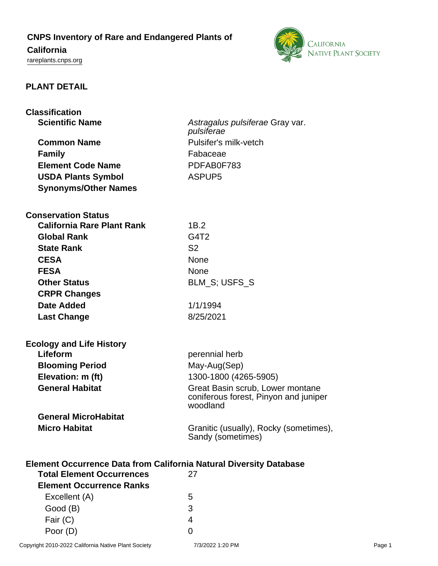# **CNPS Inventory of Rare and Endangered Plants of**

# **California**

<rareplants.cnps.org>



## **PLANT DETAIL**

| <b>Classification</b>                                                                                               |                                        |  |
|---------------------------------------------------------------------------------------------------------------------|----------------------------------------|--|
| <b>Scientific Name</b>                                                                                              | Astragalus pulsiferae Gray var.        |  |
|                                                                                                                     | pulsiferae                             |  |
| <b>Common Name</b>                                                                                                  | Pulsifer's milk-vetch                  |  |
| <b>Family</b>                                                                                                       | Fabaceae                               |  |
| <b>Element Code Name</b>                                                                                            | PDFAB0F783                             |  |
| <b>USDA Plants Symbol</b>                                                                                           | ASPUP <sub>5</sub>                     |  |
| <b>Synonyms/Other Names</b>                                                                                         |                                        |  |
|                                                                                                                     |                                        |  |
| <b>Conservation Status</b>                                                                                          |                                        |  |
| <b>California Rare Plant Rank</b>                                                                                   | 1B.2                                   |  |
| <b>Global Rank</b>                                                                                                  | G4T2                                   |  |
| <b>State Rank</b>                                                                                                   | S <sub>2</sub>                         |  |
| <b>CESA</b>                                                                                                         | <b>None</b>                            |  |
| <b>FESA</b>                                                                                                         | <b>None</b>                            |  |
| <b>Other Status</b>                                                                                                 | BLM_S; USFS_S                          |  |
| <b>CRPR Changes</b>                                                                                                 |                                        |  |
| Date Added                                                                                                          | 1/1/1994                               |  |
| <b>Last Change</b>                                                                                                  | 8/25/2021                              |  |
|                                                                                                                     |                                        |  |
| <b>Ecology and Life History</b>                                                                                     |                                        |  |
| Lifeform                                                                                                            | perennial herb                         |  |
| <b>Blooming Period</b>                                                                                              | May-Aug(Sep)                           |  |
| Elevation: m (ft)                                                                                                   | 1300-1800 (4265-5905)                  |  |
| <b>General Habitat</b>                                                                                              | Great Basin scrub, Lower montane       |  |
|                                                                                                                     | coniferous forest, Pinyon and juniper  |  |
|                                                                                                                     | woodland                               |  |
| <b>General MicroHabitat</b>                                                                                         |                                        |  |
| <b>Micro Habitat</b>                                                                                                | Granitic (usually), Rocky (sometimes), |  |
|                                                                                                                     | Sandy (sometimes)                      |  |
|                                                                                                                     |                                        |  |
| <b>Element Occurrence Data from California Natural Diversity Database</b><br><b>Total Element Occurrences</b><br>27 |                                        |  |
| <b>Element Occurrence Ranks</b>                                                                                     |                                        |  |
| Excellent (A)                                                                                                       | 5                                      |  |
| Good (B)                                                                                                            | 3                                      |  |
| Fair (C)                                                                                                            | 4                                      |  |
| Poor (D)                                                                                                            | 0                                      |  |